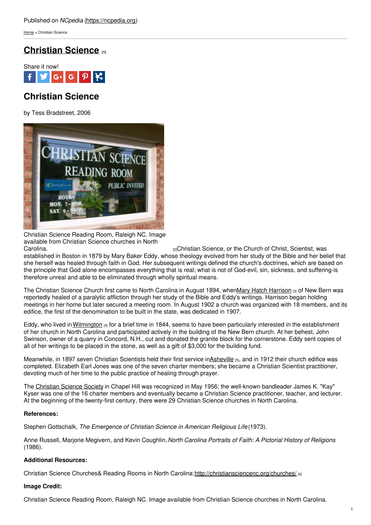[Home](https://ncpedia.org/) > Christian Science

## **[Christian](https://ncpedia.org/christian-science) Science [1]**



# **Christian Science**

by Tess Bradstreet, 2006



Christian Science Reading Room, Raleigh NC. Image available from Christian Science churches in North [Carolina.](http://christiansciencenc.org/churches/raleigh/second-church-of-christ-scientist-raleigh-north-carolina/) Carolina. **Example 20** 2011 12:  $\frac{1}{2}$ Christian Science, or the Church of Christ, Scientist, was

established in Boston in 1879 by Mary Baker Eddy, whose theology evolved from her study of the Bible and her belief that she herself was healed through faith in God. Her subsequent writings defined the church's doctrines, which are based on the principle that God alone encompasses everything that is real; what is not of God-evil, sin, sickness, and suffering-is therefore unreal and able to be eliminated through wholly spiritual means.

The Christian Science Church first came to North Carolina in August 1894, whenMary Hatch [Harrison](http://www.christiansciencenewbern.org/History.html) [3] of New Bern was reportedly healed of a paralytic affliction through her study of the Bible and Eddy's writings. Harrison began holding meetings in her home but later secured a meeting room. In August 1902 a church was organized with 18 members, and its edifice, the first of the denomination to be built in the state, was dedicated in 1907.

Eddy, who lived in [Wilmington](https://ncpedia.org/geography/wilmington)  $_{[4]}$  for a brief time in 1844, seems to have been particularly interested in the establishment of her church in North Carolina and participated actively in the building of the New Bern church. At her behest, John Swinson, owner of a quarry in Concord, N.H., cut and donated the granite block for the cornerstone. Eddy sent copies of all of her writings to be placed in the stone, as well as a gift of \$3,000 for the building fund.

Meanwhile, in 1897 seven Christian Scientists held their first service in**Asheville [5]**, and in 1912 their church edifice was completed. Elizabeth Earl Jones was one of the seven charter members; she became a Christian Scientist practitioner, devoting much of her time to the public practice of healing through prayer.

The [Christian](https://ncpedia.org/christian-science#) Science Society in Chapel Hill was recognized in May 1956; the well-known bandleader James K. "Kay" Kyser was one of the 16 charter members and eventually became a Christian Science practitioner, teacher, and lecturer. At the beginning of the twenty-first century, there were 29 Christian Science churches in North Carolina.

### **References:**

Stephen Gottschalk, *The Emergence of Christian Science in American Religious Life*(1973).

Anne Russell, Marjorie Megivern, and Kevin Coughlin,*North Carolina Portraits of Faith: A Pictorial History of Religions* (1986).

### **Additional Resources:**

Christian Science Churches& Reading Rooms in North Carolina: <http://christiansciencenc.org/churches/> [6]

### **Image Credit:**

Christian Science Reading Room, Raleigh NC. Image available from Christian Science churches in North Carolina.